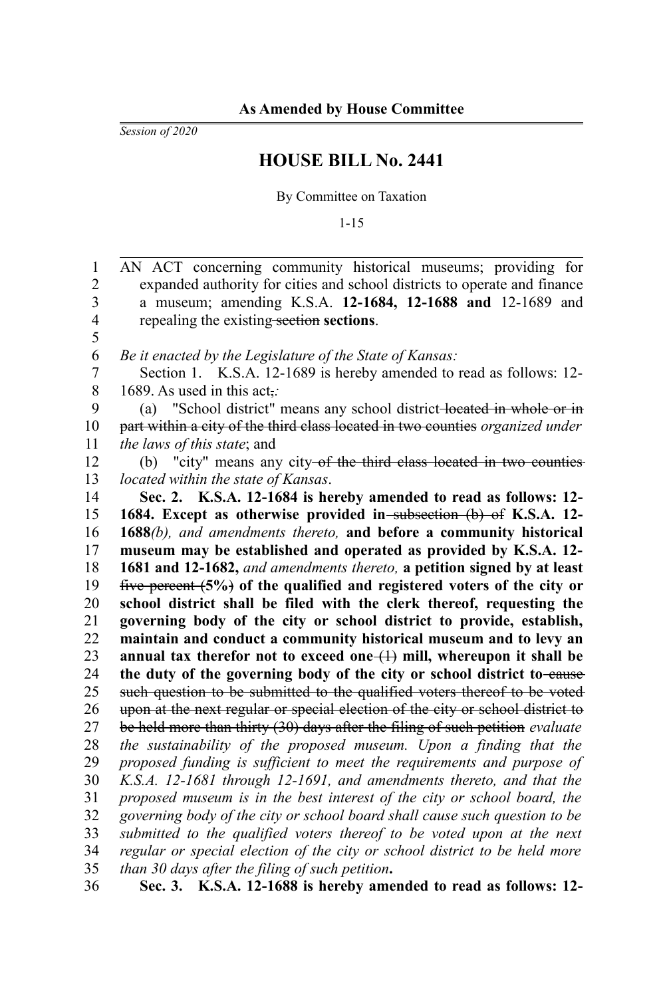*Session of 2020*

## **HOUSE BILL No. 2441**

By Committee on Taxation

1-15

| $\mathbf{1}$            | AN ACT concerning community historical museums; providing for                  |
|-------------------------|--------------------------------------------------------------------------------|
| $\overline{c}$          | expanded authority for cities and school districts to operate and finance      |
| $\overline{\mathbf{3}}$ | a museum; amending K.S.A. 12-1684, 12-1688 and 12-1689 and                     |
| $\overline{\mathbf{4}}$ | repealing the existing-section sections.                                       |
| 5                       |                                                                                |
| 6                       | Be it enacted by the Legislature of the State of Kansas:                       |
| $\overline{7}$          | Section 1. K.S.A. 12-1689 is hereby amended to read as follows: 12-            |
| $\,$ $\,$               | 1689. As used in this act,:                                                    |
| 9                       | (a) "School district" means any school district-located in whole or in         |
| 10                      | part within a city of the third class located in two counties organized under  |
| 11                      | the laws of this state; and                                                    |
| 12                      | (b) "city" means any city-of the third class located in two counties-          |
| 13                      | located within the state of Kansas.                                            |
| 14                      | Sec. 2. K.S.A. 12-1684 is hereby amended to read as follows: 12-               |
| 15                      | 1684. Except as otherwise provided in-subsection (b) of K.S.A. 12-             |
| 16                      | 1688(b), and amendments thereto, and before a community historical             |
| 17                      | museum may be established and operated as provided by K.S.A. 12-               |
| 18                      |                                                                                |
|                         | 1681 and 12-1682, and amendments thereto, a petition signed by at least        |
| 19                      | five percent (5%) of the qualified and registered voters of the city or        |
| 20                      | school district shall be filed with the clerk thereof, requesting the          |
| 21                      | governing body of the city or school district to provide, establish,           |
| 22                      | maintain and conduct a community historical museum and to levy an              |
| 23                      | annual tax therefor not to exceed one $(1)$ mill, whereupon it shall be        |
| 24                      | the duty of the governing body of the city or school district to-eause         |
| 25                      | such question to be submitted to the qualified voters thereof to be voted      |
| 26                      | upon at the next regular or special election of the city or school district to |
| 27                      | be held more than thirty (30) days after the filing of such petition evaluate  |
| 28                      | the sustainability of the proposed museum. Upon a finding that the             |
| 29                      | proposed funding is sufficient to meet the requirements and purpose of         |
| 30                      | K.S.A. 12-1681 through 12-1691, and amendments thereto, and that the           |
| 31                      | proposed museum is in the best interest of the city or school board, the       |
| 32                      | governing body of the city or school board shall cause such question to be     |
| 33                      | submitted to the qualified voters thereof to be voted upon at the next         |
| 34                      | regular or special election of the city or school district to be held more     |
| 35                      | than 30 days after the filing of such petition.                                |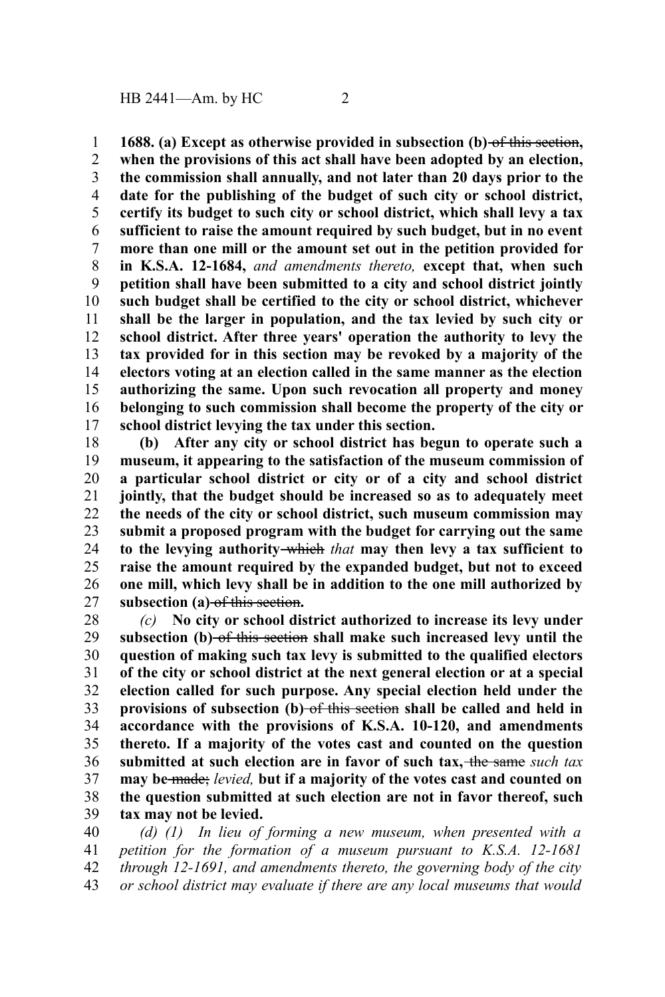**1688. (a) Except as otherwise provided in subsection (b)** of this section**, when the provisions of this act shall have been adopted by an election, the commission shall annually, and not later than 20 days prior to the date for the publishing of the budget of such city or school district, certify its budget to such city or school district, which shall levy a tax sufficient to raise the amount required by such budget, but in no event more than one mill or the amount set out in the petition provided for in K.S.A. 12-1684,** *and amendments thereto,* **except that, when such petition shall have been submitted to a city and school district jointly such budget shall be certified to the city or school district, whichever shall be the larger in population, and the tax levied by such city or school district. After three years' operation the authority to levy the tax provided for in this section may be revoked by a majority of the electors voting at an election called in the same manner as the election authorizing the same. Upon such revocation all property and money belonging to such commission shall become the property of the city or school district levying the tax under this section.** 1 2 3 4 5 6 7 8 9 10 11 12 13 14 15 16 17

**(b) After any city or school district has begun to operate such a museum, it appearing to the satisfaction of the museum commission of a particular school district or city or of a city and school district jointly, that the budget should be increased so as to adequately meet the needs of the city or school district, such museum commission may submit a proposed program with the budget for carrying out the same to the levying authority** which *that* **may then levy a tax sufficient to raise the amount required by the expanded budget, but not to exceed one mill, which levy shall be in addition to the one mill authorized by subsection (a)** of this section**.** 18 19 20 21 22 23 24 25 26 27

*(c)* **No city or school district authorized to increase its levy under subsection (b)** of this section **shall make such increased levy until the question of making such tax levy is submitted to the qualified electors of the city or school district at the next general election or at a special election called for such purpose. Any special election held under the** provisions of subsection (b) of this section shall be called and held in **accordance with the provisions of K.S.A. 10-120, and amendments thereto. If a majority of the votes cast and counted on the question submitted at such election are in favor of such tax,** the same *such tax* **may be** made; *levied,* **but if a majority of the votes cast and counted on the question submitted at such election are not in favor thereof, such tax may not be levied.** 28 29 30 31 32 33 34 35 36 37 38 39

*(d) (1) In lieu of forming a new museum, when presented with a petition for the formation of a museum pursuant to K.S.A. 12-1681 through 12-1691, and amendments thereto, the governing body of the city or school district may evaluate if there are any local museums that would* 40 41 42 43